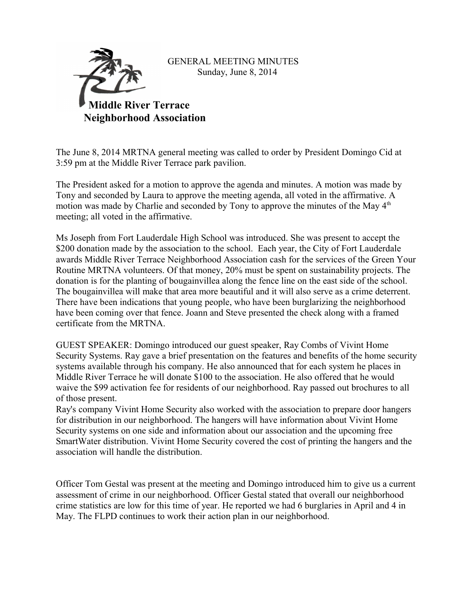

GENERAL MEETING MINUTES Sunday, June 8, 2014

The June 8, 2014 MRTNA general meeting was called to order by President Domingo Cid at 3:59 pm at the Middle River Terrace park pavilion.

The President asked for a motion to approve the agenda and minutes. A motion was made by Tony and seconded by Laura to approve the meeting agenda, all voted in the affirmative. A motion was made by Charlie and seconded by Tony to approve the minutes of the May  $4<sup>th</sup>$ meeting; all voted in the affirmative.

Ms Joseph from Fort Lauderdale High School was introduced. She was present to accept the \$200 donation made by the association to the school. Each year, the City of Fort Lauderdale awards Middle River Terrace Neighborhood Association cash for the services of the Green Your Routine MRTNA volunteers. Of that money, 20% must be spent on sustainability projects. The donation is for the planting of bougainvillea along the fence line on the east side of the school. The bougainvillea will make that area more beautiful and it will also serve as a crime deterrent. There have been indications that young people, who have been burglarizing the neighborhood have been coming over that fence. Joann and Steve presented the check along with a framed certificate from the MRTNA.

GUEST SPEAKER: Domingo introduced our guest speaker, Ray Combs of Vivint Home Security Systems. Ray gave a brief presentation on the features and benefits of the home security systems available through his company. He also announced that for each system he places in Middle River Terrace he will donate \$100 to the association. He also offered that he would waive the \$99 activation fee for residents of our neighborhood. Ray passed out brochures to all of those present.

Ray's company Vivint Home Security also worked with the association to prepare door hangers for distribution in our neighborhood. The hangers will have information about Vivint Home Security systems on one side and information about our association and the upcoming free SmartWater distribution. Vivint Home Security covered the cost of printing the hangers and the association will handle the distribution.

Officer Tom Gestal was present at the meeting and Domingo introduced him to give us a current assessment of crime in our neighborhood. Officer Gestal stated that overall our neighborhood crime statistics are low for this time of year. He reported we had 6 burglaries in April and 4 in May. The FLPD continues to work their action plan in our neighborhood.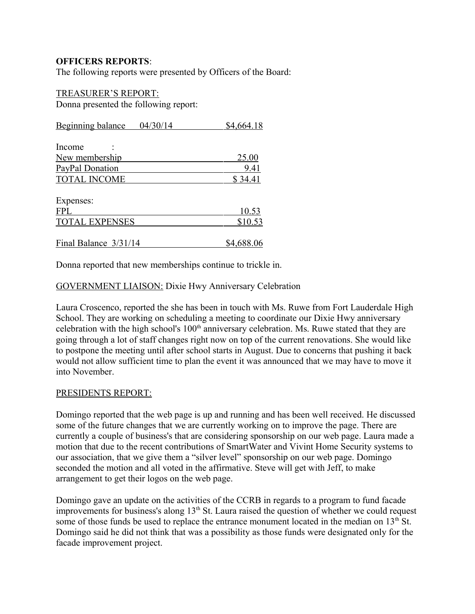## **OFFICERS REPORTS**:

The following reports were presented by Officers of the Board:

# TREASURER'S REPORT:

Donna presented the following report:

| <b>Beginning balance</b> | 04/30/14 | \$4,664.18   |
|--------------------------|----------|--------------|
|                          |          |              |
| Income                   |          |              |
| New membership           |          | <u>25.00</u> |
| PayPal Donation          |          | 9.41         |
| <b>TOTAL INCOME</b>      |          | \$34.41      |
|                          |          |              |
| Expenses:                |          |              |
| <b>FPL</b>               |          | 10.53        |
| <b>TOTAL EXPENSES</b>    |          | \$10.53      |
|                          |          |              |
| Final Balance 3/31/14    |          | \$4,688.06   |

Donna reported that new memberships continue to trickle in.

### GOVERNMENT LIAISON: Dixie Hwy Anniversary Celebration

Laura Croscenco, reported the she has been in touch with Ms. Ruwe from Fort Lauderdale High School. They are working on scheduling a meeting to coordinate our Dixie Hwy anniversary celebration with the high school's  $100<sup>th</sup>$  anniversary celebration. Ms. Ruwe stated that they are going through a lot of staff changes right now on top of the current renovations. She would like to postpone the meeting until after school starts in August. Due to concerns that pushing it back would not allow sufficient time to plan the event it was announced that we may have to move it into November.

#### PRESIDENTS REPORT:

Domingo reported that the web page is up and running and has been well received. He discussed some of the future changes that we are currently working on to improve the page. There are currently a couple of business's that are considering sponsorship on our web page. Laura made a motion that due to the recent contributions of SmartWater and Vivint Home Security systems to our association, that we give them a "silver level" sponsorship on our web page. Domingo seconded the motion and all voted in the affirmative. Steve will get with Jeff, to make arrangement to get their logos on the web page.

Domingo gave an update on the activities of the CCRB in regards to a program to fund facade improvements for business's along  $13<sup>th</sup>$  St. Laura raised the question of whether we could request some of those funds be used to replace the entrance monument located in the median on  $13<sup>th</sup>$  St. Domingo said he did not think that was a possibility as those funds were designated only for the facade improvement project.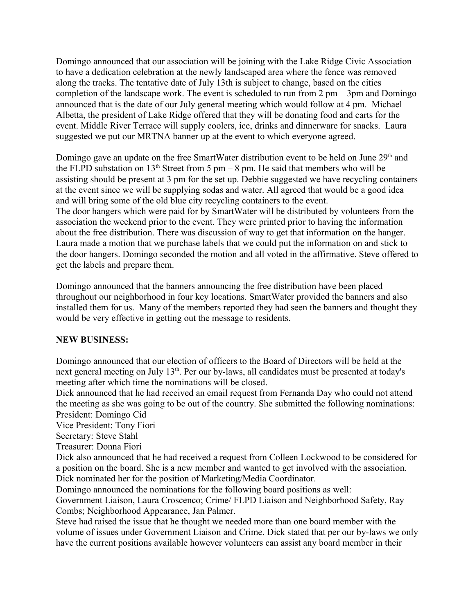Domingo announced that our association will be joining with the Lake Ridge Civic Association to have a dedication celebration at the newly landscaped area where the fence was removed along the tracks. The tentative date of July 13th is subject to change, based on the cities completion of the landscape work. The event is scheduled to run from  $2 \text{ pm} - 3 \text{ pm}$  and Domingo announced that is the date of our July general meeting which would follow at 4 pm. Michael Albetta, the president of Lake Ridge offered that they will be donating food and carts for the event. Middle River Terrace will supply coolers, ice, drinks and dinnerware for snacks. Laura suggested we put our MRTNA banner up at the event to which everyone agreed.

Domingo gave an update on the free SmartWater distribution event to be held on June 29<sup>th</sup> and the FLPD substation on  $13<sup>th</sup>$  Street from 5 pm – 8 pm. He said that members who will be assisting should be present at 3 pm for the set up. Debbie suggested we have recycling containers at the event since we will be supplying sodas and water. All agreed that would be a good idea and will bring some of the old blue city recycling containers to the event. The door hangers which were paid for by SmartWater will be distributed by volunteers from the association the weekend prior to the event. They were printed prior to having the information about the free distribution. There was discussion of way to get that information on the hanger. Laura made a motion that we purchase labels that we could put the information on and stick to the door hangers. Domingo seconded the motion and all voted in the affirmative. Steve offered to get the labels and prepare them.

Domingo announced that the banners announcing the free distribution have been placed throughout our neighborhood in four key locations. SmartWater provided the banners and also installed them for us. Many of the members reported they had seen the banners and thought they would be very effective in getting out the message to residents.

### **NEW BUSINESS:**

Domingo announced that our election of officers to the Board of Directors will be held at the next general meeting on July 13<sup>th</sup>. Per our by-laws, all candidates must be presented at today's meeting after which time the nominations will be closed.

Dick announced that he had received an email request from Fernanda Day who could not attend the meeting as she was going to be out of the country. She submitted the following nominations: President: Domingo Cid

Vice President: Tony Fiori

Secretary: Steve Stahl

Treasurer: Donna Fiori

Dick also announced that he had received a request from Colleen Lockwood to be considered for a position on the board. She is a new member and wanted to get involved with the association. Dick nominated her for the position of Marketing/Media Coordinator.

Domingo announced the nominations for the following board positions as well:

Government Liaison, Laura Croscenco; Crime/ FLPD Liaison and Neighborhood Safety, Ray Combs; Neighborhood Appearance, Jan Palmer.

Steve had raised the issue that he thought we needed more than one board member with the volume of issues under Government Liaison and Crime. Dick stated that per our by-laws we only have the current positions available however volunteers can assist any board member in their